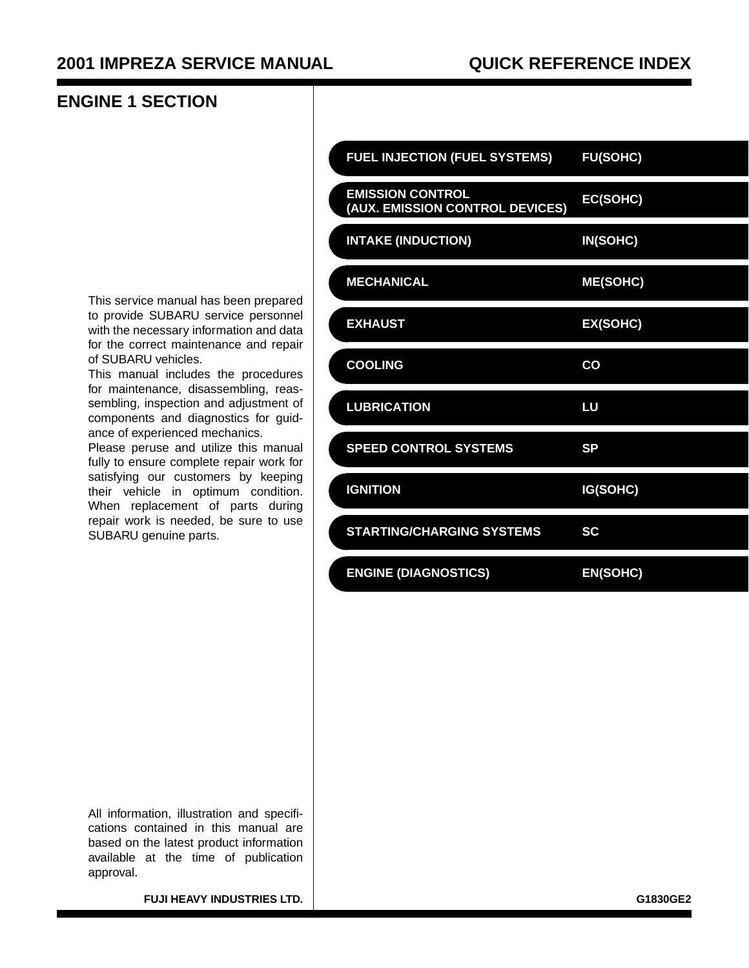#### **ENGINE 1 SECTION**

This service manual has been prepared to provide SUBARU service personnel with the necessary information and data for the correct maintenance and repair of SUBARU vehicles.

This manual includes the procedures for maintenance, disassembling, reassembling, inspection and adjustment of components and diagnostics for guidance of experienced mechanics.

Please peruse and utilize this manual fully to ensure complete repair work for satisfying our customers by keeping their vehicle in optimum condition. When replacement of parts during repair work is needed, be sure to use SUBARU genuine parts.

| <b>FUEL INJECTION (FUEL SYSTEMS)</b>                       | <b>FU(SOHC)</b> |
|------------------------------------------------------------|-----------------|
| <b>EMISSION CONTROL</b><br>(AUX. EMISSION CONTROL DEVICES) | EC(SOHC)        |
| <b>INTAKE (INDUCTION)</b>                                  | IN(SOHC)        |
| <b>MECHANICAL</b>                                          | <b>ME(SOHC)</b> |
| <b>EXHAUST</b>                                             | EX(SOHC)        |
| <b>COOLING</b>                                             | CO              |
| <b>LUBRICATION</b>                                         | LU              |
| <b>SPEED CONTROL SYSTEMS</b>                               | <b>SP</b>       |
| <b>IGNITION</b>                                            | IG(SOHC)        |
| <b>STARTING/CHARGING SYSTEMS</b>                           | <b>SC</b>       |
| <b>ENGINE (DIAGNOSTICS)</b>                                | <b>EN(SOHC)</b> |

All information, illustration and specifications contained in this manual are based on the latest product information available at the time of publication approval.

**FUJI HEAVY INDUSTRIES LTD.**  $\vert$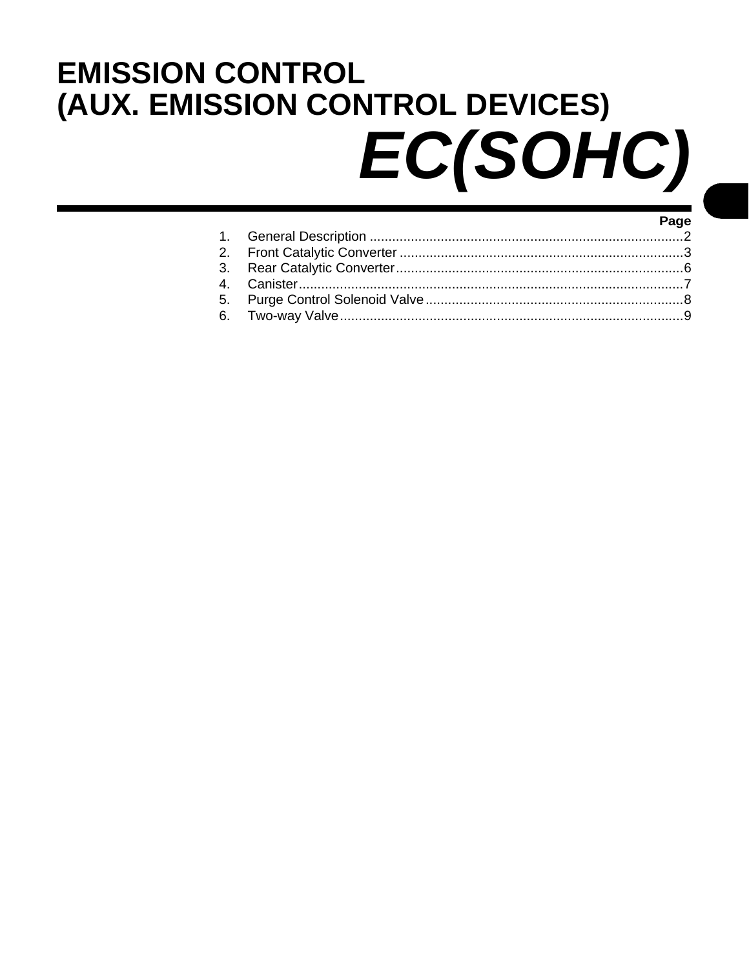# <span id="page-1-0"></span>**EMISSION CONTROL** (AUX. EMISSION CONTROL DEVICES) EC(SOHC)

| и против полной полной полной и составительной и составительной и составительной и составительной и |  |
|-----------------------------------------------------------------------------------------------------|--|
|                                                                                                     |  |
|                                                                                                     |  |
|                                                                                                     |  |
|                                                                                                     |  |
|                                                                                                     |  |
|                                                                                                     |  |
|                                                                                                     |  |

Door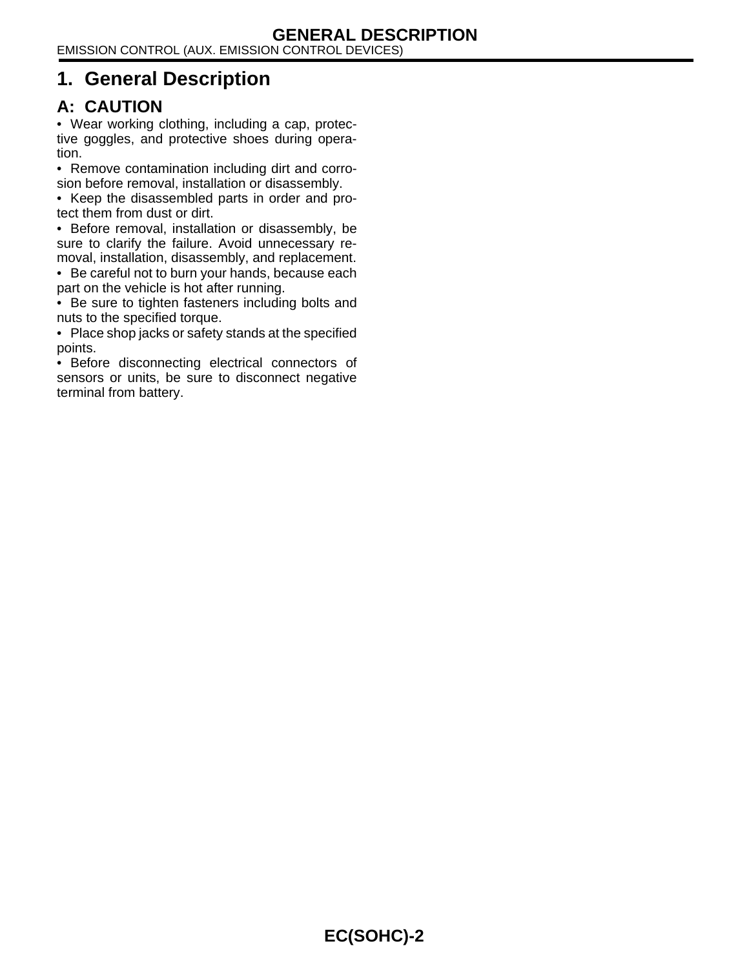EMISSION CONTROL (AUX. EMISSION CONTROL DEVICES)

# <span id="page-2-0"></span>**1. General Description**

#### **A: CAUTION**

• Wear working clothing, including a cap, protective goggles, and protective shoes during operation.

• Remove contamination including dirt and corrosion before removal, installation or disassembly.

• Keep the disassembled parts in order and protect them from dust or dirt.

• Before removal, installation or disassembly, be sure to clarify the failure. Avoid unnecessary removal, installation, disassembly, and replacement.

• Be careful not to burn your hands, because each part on the vehicle is hot after running.

• Be sure to tighten fasteners including bolts and nuts to the specified torque.

• Place shop jacks or safety stands at the specified points.

• Before disconnecting electrical connectors of sensors or units, be sure to disconnect negative terminal from battery.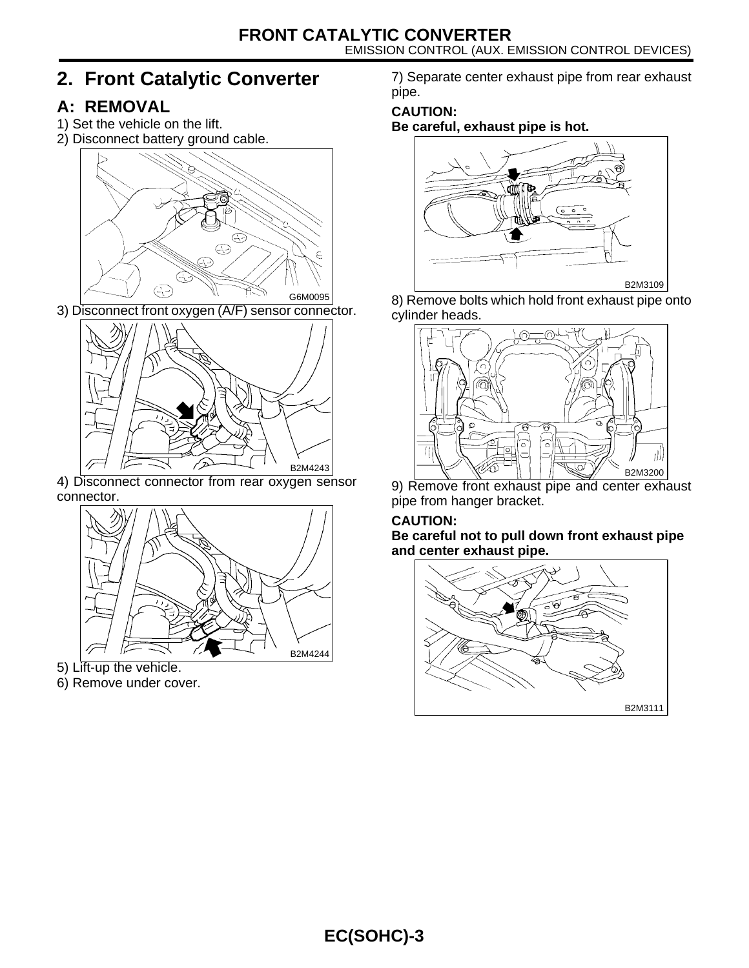# <span id="page-3-0"></span>**2. Front Catalytic Converter**

## <span id="page-3-1"></span>**A: REMOVAL**

- 1) Set the vehicle on the lift.
- 2) Disconnect battery ground cable.



3) Disconnect front oxygen (A/F) sensor connector.



4) Disconnect connector from rear oxygen sensor connector.



- 5) Lift-up the vehicle.
- 6) Remove under cover.

7) Separate center exhaust pipe from rear exhaust pipe.

#### **CAUTION:**

**Be careful, exhaust pipe is hot.**



8) Remove bolts which hold front exhaust pipe onto cylinder heads.



9) Remove front exhaust pipe and center exhaust pipe from hanger bracket.

# **CAUTION:**

**Be careful not to pull down front exhaust pipe and center exhaust pipe.**

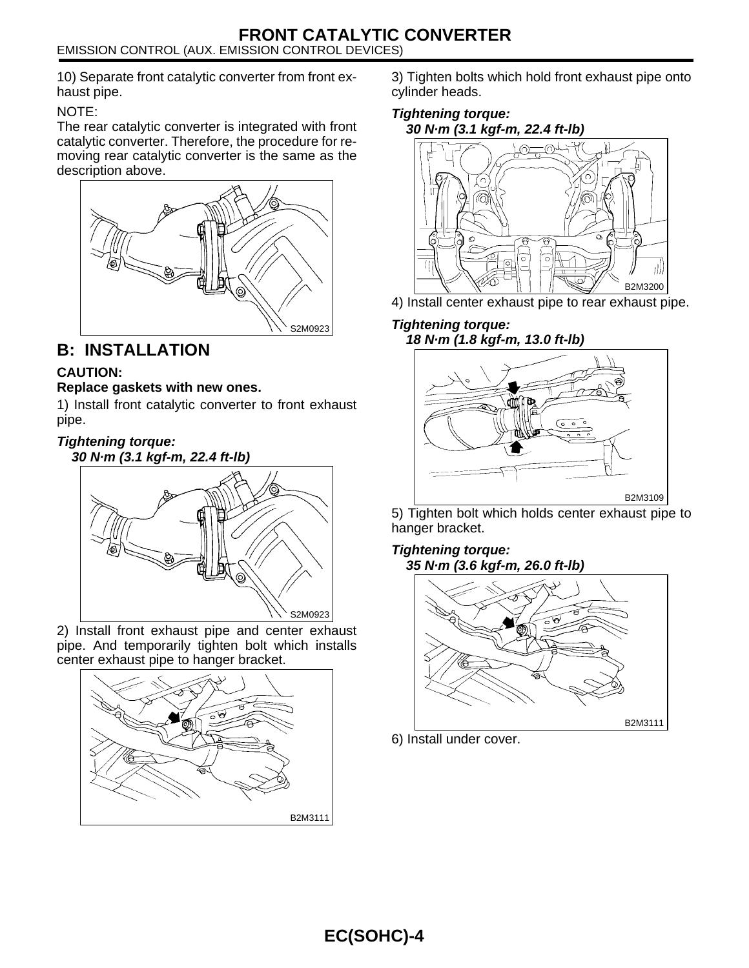10) Separate front catalytic converter from front exhaust pipe.

#### NOTE:

The rear catalytic converter is integrated with front catalytic converter. Therefore, the procedure for removing rear catalytic converter is the same as the description above.



#### <span id="page-4-0"></span>**B: INSTALLATION**

#### **CAUTION:**

#### **Replace gaskets with new ones.**

1) Install front catalytic converter to front exhaust pipe.

## **Tightening torque:**



2) Install front exhaust pipe and center exhaust pipe. And temporarily tighten bolt which installs center exhaust pipe to hanger bracket.



3) Tighten bolts which hold front exhaust pipe onto cylinder heads.

#### **Tightening torque: 30 N·m (3.1 kgf-m, 22.4 ft-lb)**



4) Install center exhaust pipe to rear exhaust pipe.

#### **Tightening torque: 18 N·m (1.8 kgf-m, 13.0 ft-lb)**



5) Tighten bolt which holds center exhaust pipe to hanger bracket.

#### **Tightening torque: 35 N·m (3.6 kgf-m, 26.0 ft-lb)**



6) Install under cover.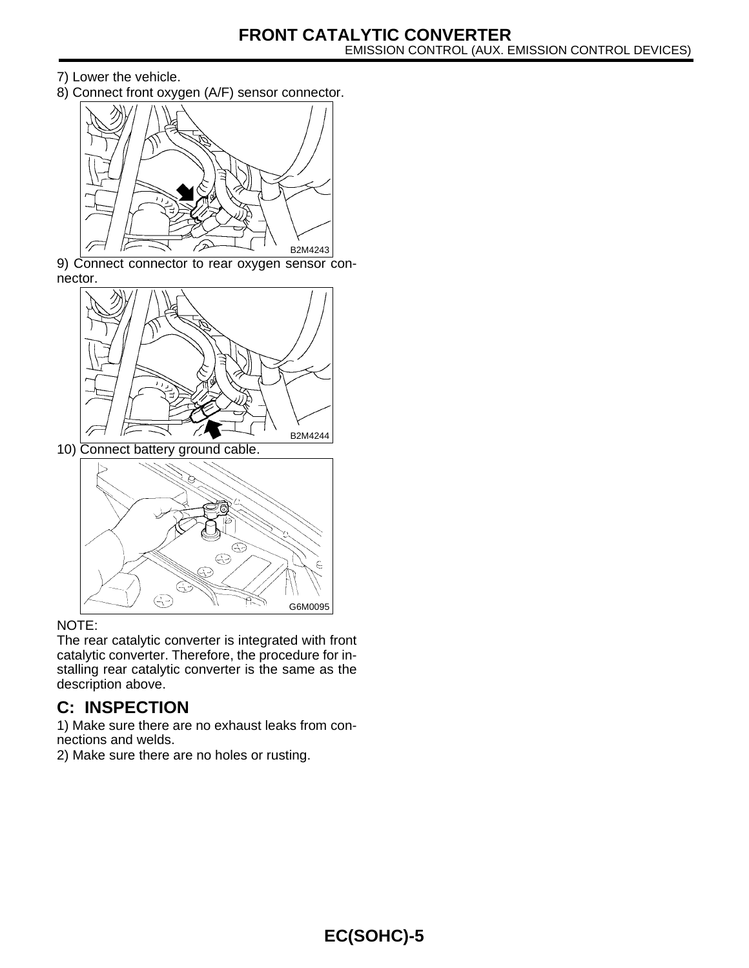- 7) Lower the vehicle.
- 8) Connect front oxygen (A/F) sensor connector.



9) Connect connector to rear oxygen sensor connector.



10) Connect battery ground cable.



#### NOTE:

The rear catalytic converter is integrated with front catalytic converter. Therefore, the procedure for installing rear catalytic converter is the same as the description above.

#### **C: INSPECTION**

1) Make sure there are no exhaust leaks from connections and welds.

2) Make sure there are no holes or rusting.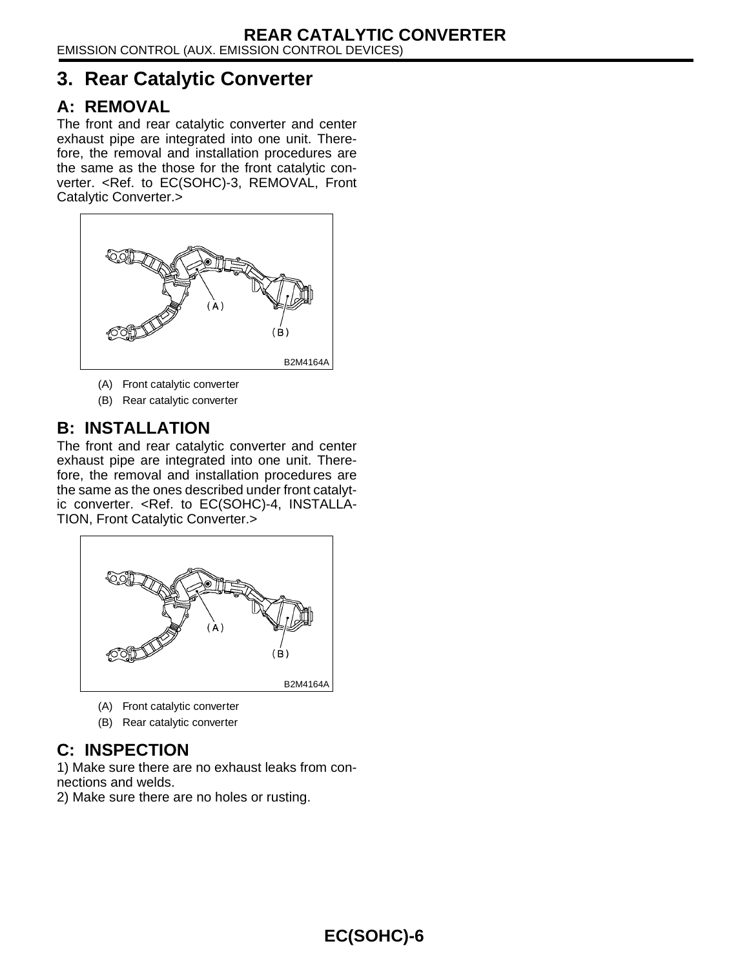## <span id="page-6-0"></span>**3. Rear Catalytic Converter**

#### **A: REMOVAL**

The front and rear catalytic converter and center exhaust pipe are integrated into one unit. Therefore, the removal and installation procedures are the same as the those for the front catalytic con-verter. [<Ref. to EC\(SOHC\)-3, REMOVAL, Front](#page-3-1) [Catalytic Converter.>](#page-3-1)



- (A) Front catalytic converter
- (B) Rear catalytic converter

#### **B: INSTALLATION**

The front and rear catalytic converter and center exhaust pipe are integrated into one unit. Therefore, the removal and installation procedures are the same as the ones described under front catalytic converter. [<Ref. to EC\(SOHC\)-4, INSTALLA-](#page-4-0)[TION, Front Catalytic Converter.>](#page-4-0)



- (A) Front catalytic converter
- (B) Rear catalytic converter

## **C: INSPECTION**

1) Make sure there are no exhaust leaks from connections and welds.

2) Make sure there are no holes or rusting.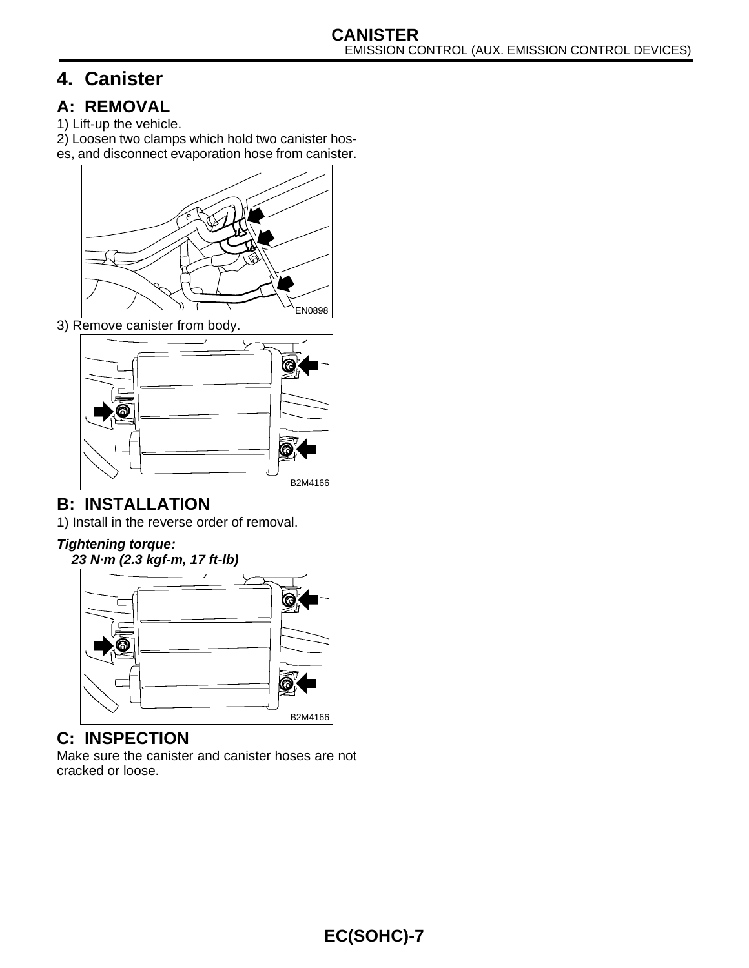# <span id="page-7-0"></span>**4. Canister**

## <span id="page-7-1"></span>**A: REMOVAL**

- 1) Lift-up the vehicle.
- 2) Loosen two clamps which hold two canister hos-
- es, and disconnect evaporation hose from canister.



3) Remove canister from body.



## **B: INSTALLATION**

1) Install in the reverse order of removal.

#### **Tightening torque:**

**23 N·m (2.3 kgf-m, 17 ft-lb)**



## **C: INSPECTION**

Make sure the canister and canister hoses are not cracked or loose.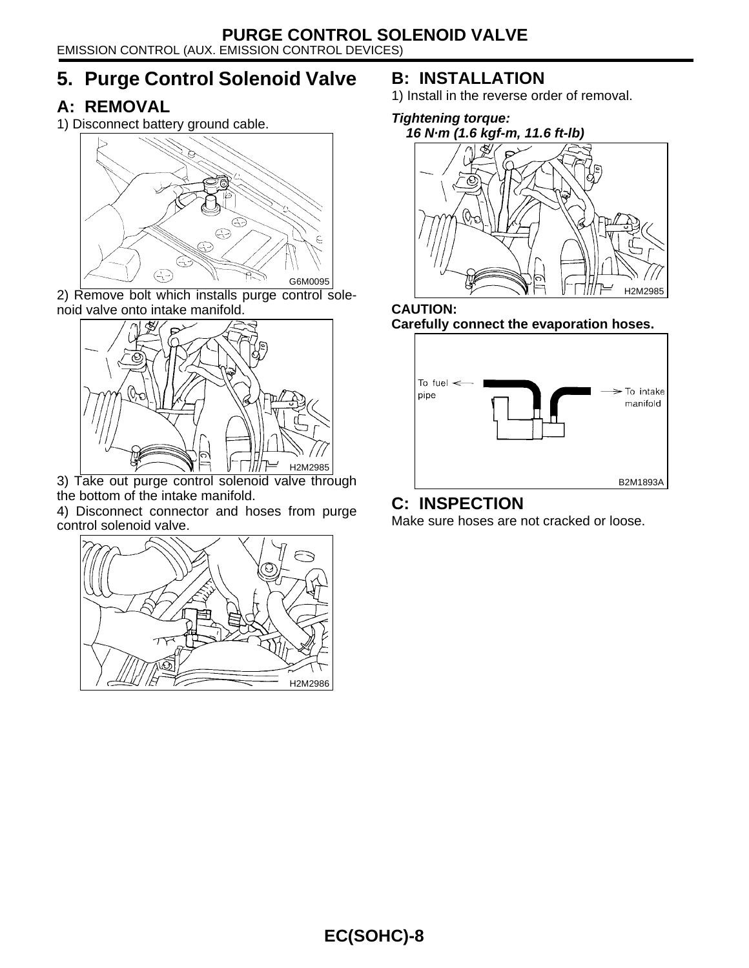EMISSION CONTROL (AUX. EMISSION CONTROL DEVICES)

# <span id="page-8-0"></span>**5. Purge Control Solenoid Valve**

#### **A: REMOVAL**

1) Disconnect battery ground cable.



2) Remove bolt which installs purge control solenoid valve onto intake manifold.



3) Take out purge control solenoid valve through the bottom of the intake manifold.

4) Disconnect connector and hoses from purge control solenoid valve.



## **B: INSTALLATION**

1) Install in the reverse order of removal.





#### **CAUTION: Carefully connect the evaporation hoses.**



#### **C: INSPECTION**

Make sure hoses are not cracked or loose.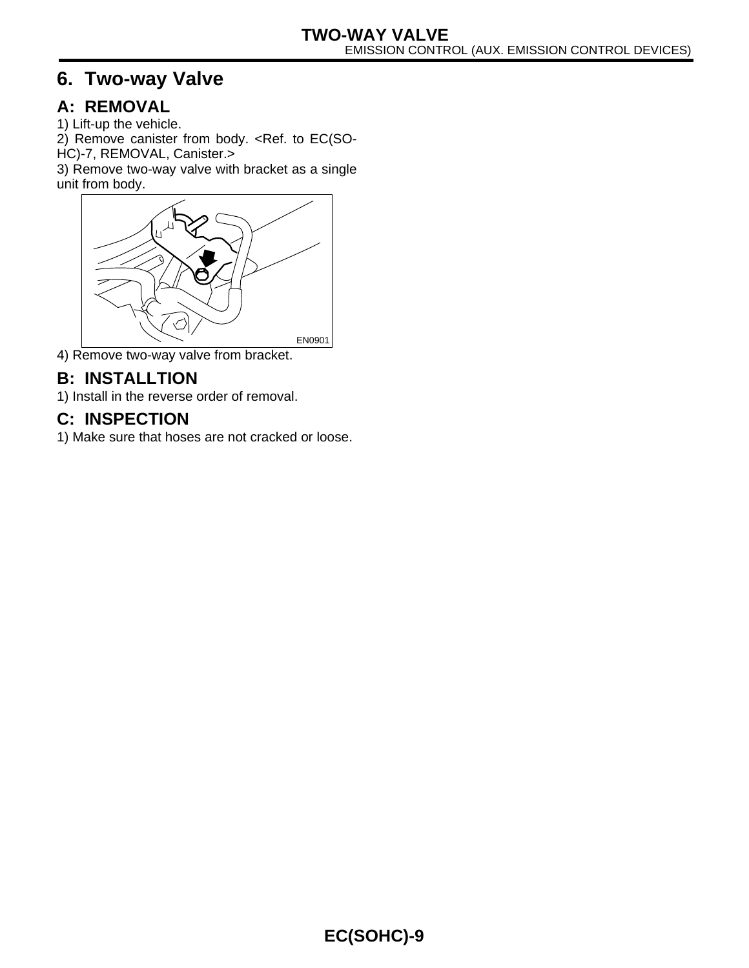# <span id="page-9-0"></span>**6. Two-way Valve**

## **A: REMOVAL**

1) Lift-up the vehicle.

2) Remove canister from body. [<Ref. to EC\(SO-](#page-7-1)[HC\)-7, REMOVAL, Canister.>](#page-7-1)

3) Remove two-way valve with bracket as a single unit from body.



4) Remove two-way valve from bracket.

#### **B: INSTALLTION**

1) Install in the reverse order of removal.

#### **C: INSPECTION**

1) Make sure that hoses are not cracked or loose.